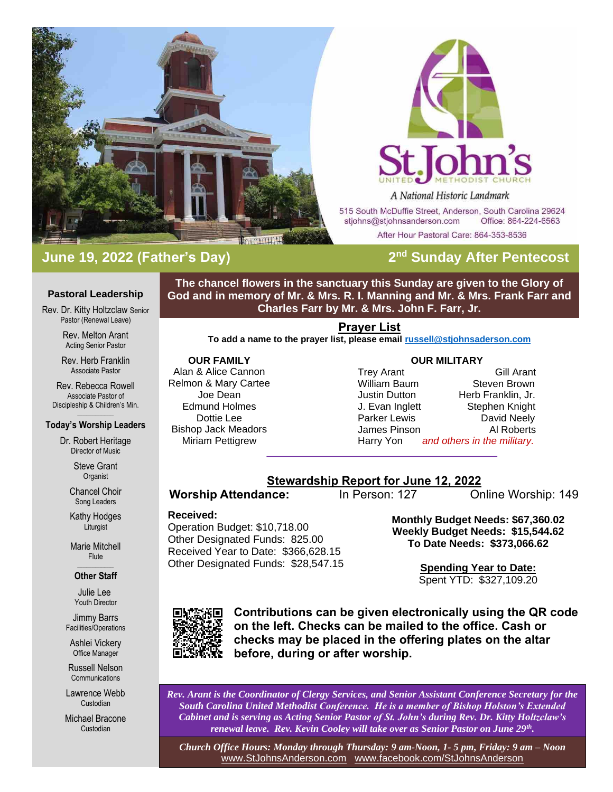

# **June 19, 2022 (Father's Day) 2**



A National Historic Landmark

515 South McDuffie Street, Anderson, South Carolina 29624 stjohns@stjohnsanderson.com Office: 864-224-6563

After Hour Pastoral Care: 864-353-8536

# **2<sup>nd</sup> Sunday After Pentecost**

### **Pastoral Leadership**

Rev. Dr. Kitty Holtzclaw Senior Pastor (Renewal Leave)

> Rev. Melton Arant Acting Senior Pastor

Rev. Herb Franklin Associate Pastor

Rev. Rebecca Rowell Associate Pastor of Discipleship & Children's Min.

### $\mathcal{L}_\text{max}$  and  $\mathcal{L}_\text{max}$ **Today's Worship Leaders**

Dr. Robert Heritage Director of Music

> Steve Grant **Organist**

Chancel Choir Song Leaders

Kathy Hodges Liturgist

Marie Mitchell Flute

### $\mathcal{L}_\text{max}$  and  $\mathcal{L}_\text{max}$ **Other Staff**

Julie Lee Youth Director

Jimmy Barrs Facilities/Operations

Ashlei Vickery Office Manager

Russell Nelson **Communications** 

Lawrence Webb Custodian

Michael Bracone Custodian

**The chancel flowers in the sanctuary this Sunday are given to the Glory of God and in memory of Mr. & Mrs. R. I. Manning and Mr. & Mrs. Frank Farr and Charles Farr by Mr. & Mrs. John F. Farr, Jr.**

### **Prayer List**

**To add a name to the prayer list, please email [russell@stjohnsaderson.com](mailto:russell@stjohnsaderson.com)**

## **OUR FAMILY** Alan & Alice Cannon Relmon & Mary Cartee Joe Dean Edmund Holmes Dottie Lee Bishop Jack Meadors Miriam Pettigrew

### **OUR MILITARY**

Trey Arant Gill Arant William Baum Steven Brown Justin Dutton Herb Franklin, Jr. J. Evan Inglett Stephen Knight Parker Lewis **David Neely**<br>
James Pinson **David Neely** James Pinson Harry Yon *and others in the military.*

# **Stewardship Report for June 12, 2022**

**Worship Attendance:** In Person: 127 Online Worship: 149

## **Received:**

Operation Budget: \$10,718.00 Other Designated Funds: 825.00 Received Year to Date: \$366,628.15 Other Designated Funds: \$28,547.15 **Monthly Budget Needs: \$67,360.02 Weekly Budget Needs: \$15,544.62 To Date Needs: \$373,066.62**

> **Spending Year to Date:** Spent YTD: \$327,109.20



**Contributions can be given electronically using the QR code on the left. Checks can be mailed to the office. Cash or checks may be placed in the offering plates on the altar before, during or after worship.**

*Rev. Arant is the Coordinator of Clergy Services, and Senior Assistant Conference Secretary for the South Carolina United Methodist Conference. He is a member of Bishop Holston's Extended Cabinet and is serving as Acting Senior Pastor of St. John's during Rev. Dr. Kitty Holtzclaw's renewal leave. Rev. Kevin Cooley will take over as Senior Pastor on June 29th .*

*Church Office Hours: Monday through Thursday: 9 am-Noon, 1- 5 pm, Friday: 9 am – Noon* [www.StJohnsAnderson.com](http://www.stjohnsanderson.com/) [www.facebook.com/StJohnsAnderson](http://www.facebook.com/StJohnsAnderson)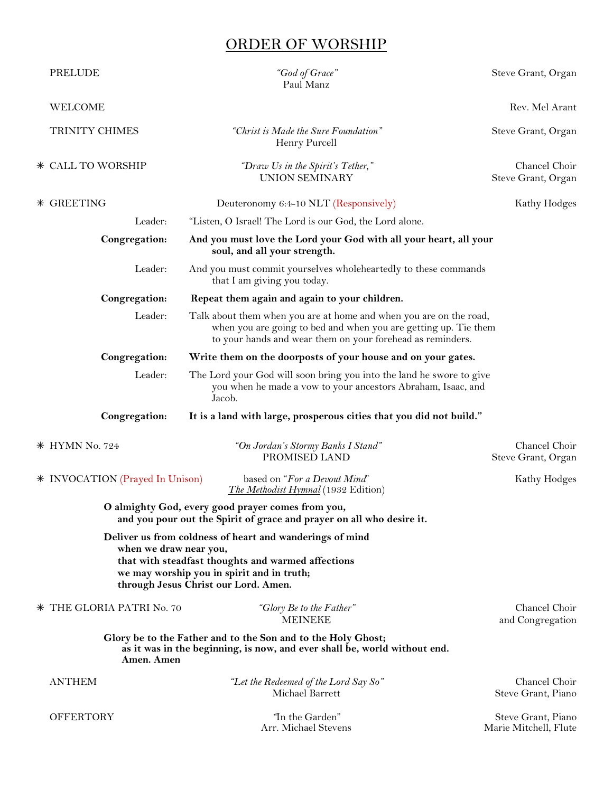# ORDER OF WORSHIP

| <b>PRELUDE</b>                                                                                                                                          | "God of Grace"<br>Paul Manz                                                                                                                                                                          | Steve Grant, Organ                          |
|---------------------------------------------------------------------------------------------------------------------------------------------------------|------------------------------------------------------------------------------------------------------------------------------------------------------------------------------------------------------|---------------------------------------------|
| <b>WELCOME</b>                                                                                                                                          |                                                                                                                                                                                                      | Rev. Mel Arant                              |
| TRINITY CHIMES                                                                                                                                          | "Christ is Made the Sure Foundation"<br>Henry Purcell                                                                                                                                                | Steve Grant, Organ                          |
| * CALL TO WORSHIP                                                                                                                                       | "Draw Us in the Spirit's Tether,"<br><b>UNION SEMINARY</b>                                                                                                                                           | Chancel Choir<br>Steve Grant, Organ         |
| * GREETING                                                                                                                                              | Deuteronomy 6:4-10 NLT (Responsively)                                                                                                                                                                | Kathy Hodges                                |
| Leader:                                                                                                                                                 | "Listen, O Israel! The Lord is our God, the Lord alone.                                                                                                                                              |                                             |
| Congregation:                                                                                                                                           | And you must love the Lord your God with all your heart, all your<br>soul, and all your strength.                                                                                                    |                                             |
| Leader:                                                                                                                                                 | And you must commit yourselves wholeheartedly to these commands<br>that I am giving you today.                                                                                                       |                                             |
| Congregation:                                                                                                                                           | Repeat them again and again to your children.                                                                                                                                                        |                                             |
| Leader:                                                                                                                                                 | Talk about them when you are at home and when you are on the road,<br>when you are going to bed and when you are getting up. Tie them<br>to your hands and wear them on your forehead as reminders.  |                                             |
| Congregation:                                                                                                                                           | Write them on the doorposts of your house and on your gates.                                                                                                                                         |                                             |
| Leader:                                                                                                                                                 | The Lord your God will soon bring you into the land he swore to give<br>you when he made a vow to your ancestors Abraham, Isaac, and<br>Jacob.                                                       |                                             |
| Congregation:                                                                                                                                           | It is a land with large, prosperous cities that you did not build."                                                                                                                                  |                                             |
| * HYMN No. 724                                                                                                                                          | "On Jordan's Stormy Banks I Stand"<br>PROMISED LAND                                                                                                                                                  | Chancel Choir<br>Steve Grant, Organ         |
| * INVOCATION (Prayed In Unison)                                                                                                                         | based on "For a Devout Mind"<br><i>The Methodist Hymnal</i> (1932 Edition)                                                                                                                           | Kathy Hodges                                |
|                                                                                                                                                         | O almighty God, every good prayer comes from you,<br>and you pour out the Spirit of grace and prayer on all who desire it.                                                                           |                                             |
| when we draw near you,                                                                                                                                  | Deliver us from coldness of heart and wanderings of mind<br>that with steadfast thoughts and warmed affections<br>we may worship you in spirit and in truth;<br>through Jesus Christ our Lord. Amen. |                                             |
| * THE GLORIA PATRI No. 70                                                                                                                               | "Glory Be to the Father"<br><b>MEINEKE</b>                                                                                                                                                           | Chancel Choir<br>and Congregation           |
| Glory be to the Father and to the Son and to the Holy Ghost;<br>as it was in the beginning, is now, and ever shall be, world without end.<br>Amen. Amen |                                                                                                                                                                                                      |                                             |
| <b>ANTHEM</b>                                                                                                                                           | "Let the Redeemed of the Lord Say So"<br>Michael Barrett                                                                                                                                             | Chancel Choir<br>Steve Grant, Piano         |
| <b>OFFERTORY</b>                                                                                                                                        | "In the Garden"<br>Arr. Michael Stevens                                                                                                                                                              | Steve Grant, Piano<br>Marie Mitchell, Flute |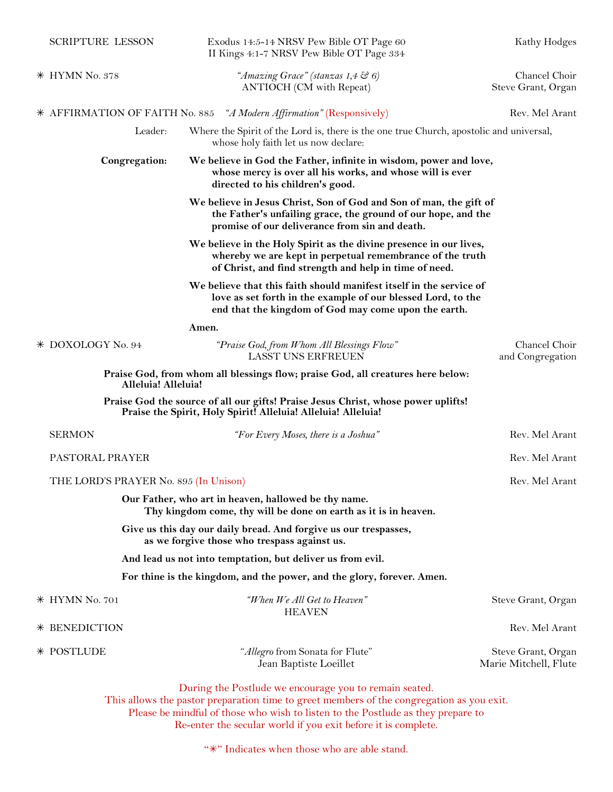|  | <b>SCRIPTURE LESSON</b>                                                                                                 | Exodus 14:5-14 NRSV Pew Bible OT Page 60<br>II Kings 4:1-7 NRSV Pew Bible OT Page 334                                                                                                       | Kathy Hodges                                |
|--|-------------------------------------------------------------------------------------------------------------------------|---------------------------------------------------------------------------------------------------------------------------------------------------------------------------------------------|---------------------------------------------|
|  | $*$ HYMN No. 378                                                                                                        | "Amazing Grace" (stanzas 1,4 & 6)<br><b>ANTIOCH</b> (CM with Repeat)                                                                                                                        | Chancel Choir<br>Steve Grant, Organ         |
|  |                                                                                                                         | * AFFIRMATION OF FAITH No. 885 "A Modern Affirmation" (Responsively)                                                                                                                        | Rev. Mel Arant                              |
|  | Leader:                                                                                                                 | Where the Spirit of the Lord is, there is the one true Church, apostolic and universal,<br>whose holy faith let us now declare:                                                             |                                             |
|  | Congregation:                                                                                                           | We believe in God the Father, infinite in wisdom, power and love,<br>whose mercy is over all his works, and whose will is ever<br>directed to his children's good.                          |                                             |
|  |                                                                                                                         | We believe in Jesus Christ, Son of God and Son of man, the gift of<br>the Father's unfailing grace, the ground of our hope, and the<br>promise of our deliverance from sin and death.       |                                             |
|  |                                                                                                                         | We believe in the Holy Spirit as the divine presence in our lives,<br>whereby we are kept in perpetual remembrance of the truth<br>of Christ, and find strength and help in time of need.   |                                             |
|  |                                                                                                                         | We believe that this faith should manifest itself in the service of<br>love as set forth in the example of our blessed Lord, to the<br>end that the kingdom of God may come upon the earth. |                                             |
|  |                                                                                                                         | Amen.                                                                                                                                                                                       |                                             |
|  | * DOXOLOGY No. 94                                                                                                       | "Praise God, from Whom All Blessings Flow"<br><b>LASST UNS ERFREUEN</b>                                                                                                                     | Chancel Choir<br>and Congregation           |
|  | Alleluia! Alleluia!                                                                                                     | Praise God, from whom all blessings flow; praise God, all creatures here below:                                                                                                             |                                             |
|  |                                                                                                                         | Praise God the source of all our gifts! Praise Jesus Christ, whose power uplifts!<br>Praise the Spirit, Holy Spirit! Alleluia! Alleluia! Alleluia!                                          |                                             |
|  | <b>SERMON</b>                                                                                                           | "For Every Moses, there is a Joshua"                                                                                                                                                        | Rev. Mel Arant                              |
|  | PASTORAL PRAYER                                                                                                         |                                                                                                                                                                                             | Rev. Mel Arant                              |
|  | THE LORD'S PRAYER No. 895 (In Unison)                                                                                   |                                                                                                                                                                                             | Rev. Mel Arant                              |
|  | Our Father, who art in heaven, hallowed be thy name.<br>Thy kingdom come, thy will be done on earth as it is in heaven. |                                                                                                                                                                                             |                                             |
|  | Give us this day our daily bread. And forgive us our trespasses,<br>as we forgive those who trespass against us.        |                                                                                                                                                                                             |                                             |
|  | And lead us not into temptation, but deliver us from evil.                                                              |                                                                                                                                                                                             |                                             |
|  |                                                                                                                         | For thine is the kingdom, and the power, and the glory, forever. Amen.                                                                                                                      |                                             |
|  | * HYMN No. 701                                                                                                          | "When We All Get to Heaven"<br><b>HEAVEN</b>                                                                                                                                                | Steve Grant, Organ                          |
|  | * BENEDICTION                                                                                                           |                                                                                                                                                                                             | Rev. Mel Arant                              |
|  | * POSTLUDE                                                                                                              | "Allegro from Sonata for Flute"<br>Jean Baptiste Loeillet                                                                                                                                   | Steve Grant, Organ<br>Marie Mitchell, Flute |
|  |                                                                                                                         | During the Postlude we encourage you to remain seated.<br>This allows the pastor preparation time to greet members of the congregation as you exit.                                         |                                             |

Please be mindful of those who wish to listen to the Postlude as they prepare to Re-enter the secular world if you exit before it is complete.

"\*" Indicates when those who are able stand.